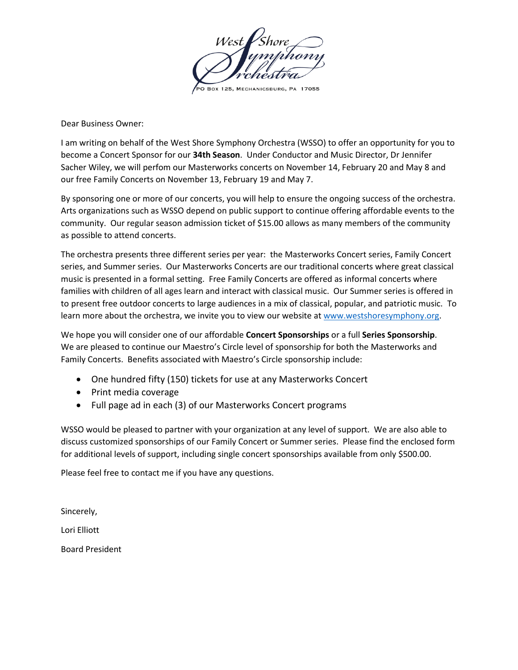O BOX 125, MECHANICSBURG, PA 17055

Dear Business Owner:

I am writing on behalf of the West Shore Symphony Orchestra (WSSO) to offer an opportunity for you to become a Concert Sponsor for our **34th Season**. Under Conductor and Music Director, Dr Jennifer Sacher Wiley, we will perfom our Masterworks concerts on November 14, February 20 and May 8 and our free Family Concerts on November 13, February 19 and May 7.

By sponsoring one or more of our concerts, you will help to ensure the ongoing success of the orchestra. Arts organizations such as WSSO depend on public support to continue offering affordable events to the community. Our regular season admission ticket of \$15.00 allows as many members of the community as possible to attend concerts.

The orchestra presents three different series per year: the Masterworks Concert series, Family Concert series, and Summer series. Our Masterworks Concerts are our traditional concerts where great classical music is presented in a formal setting. Free Family Concerts are offered as informal concerts where families with children of all ages learn and interact with classical music. Our Summer series is offered in to present free outdoor concerts to large audiences in a mix of classical, popular, and patriotic music. To learn more about the orchestra, we invite you to view our website a[t www.westshoresymphony.org.](http://www.westshoresymphony.org/)

We hope you will consider one of our affordable **Concert Sponsorships** or a full **Series Sponsorship**. We are pleased to continue our Maestro's Circle level of sponsorship for both the Masterworks and Family Concerts. Benefits associated with Maestro's Circle sponsorship include:

- One hundred fifty (150) tickets for use at any Masterworks Concert
- Print media coverage
- Full page ad in each (3) of our Masterworks Concert programs

WSSO would be pleased to partner with your organization at any level of support. We are also able to discuss customized sponsorships of our Family Concert or Summer series. Please find the enclosed form for additional levels of support, including single concert sponsorships available from only \$500.00.

Please feel free to contact me if you have any questions.

Sincerely,

Lori Elliott

Board President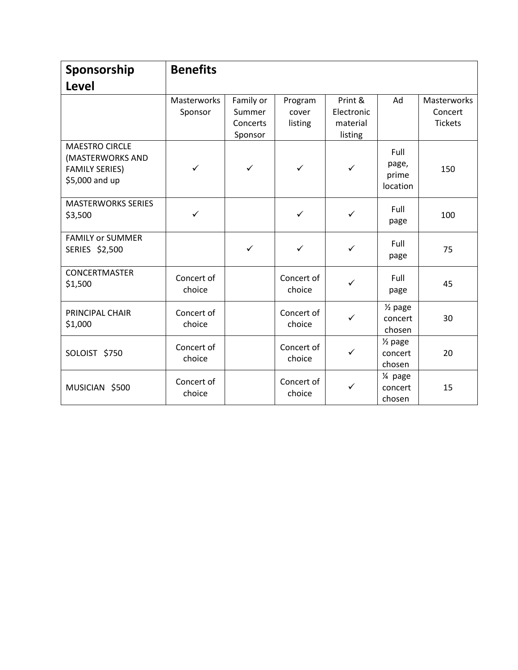| Sponsorship<br><b>Level</b>                                                          | <b>Benefits</b>        |                                            |                             |                                              |                                         |                                          |
|--------------------------------------------------------------------------------------|------------------------|--------------------------------------------|-----------------------------|----------------------------------------------|-----------------------------------------|------------------------------------------|
|                                                                                      | Masterworks<br>Sponsor | Family or<br>Summer<br>Concerts<br>Sponsor | Program<br>cover<br>listing | Print &<br>Electronic<br>material<br>listing | Ad                                      | Masterworks<br>Concert<br><b>Tickets</b> |
| <b>MAESTRO CIRCLE</b><br>(MASTERWORKS AND<br><b>FAMILY SERIES)</b><br>\$5,000 and up | $\checkmark$           | $\checkmark$                               | $\checkmark$                | $\checkmark$                                 | Full<br>page,<br>prime<br>location      | 150                                      |
| <b>MASTERWORKS SERIES</b><br>\$3,500                                                 | ✓                      |                                            | $\checkmark$                | $\checkmark$                                 | Full<br>page                            | 100                                      |
| <b>FAMILY or SUMMER</b><br>SERIES \$2,500                                            |                        | $\checkmark$                               | $\checkmark$                | $\checkmark$                                 | Full<br>page                            | 75                                       |
| CONCERTMASTER<br>\$1,500                                                             | Concert of<br>choice   |                                            | Concert of<br>choice        | $\checkmark$                                 | Full<br>page                            | 45                                       |
| PRINCIPAL CHAIR<br>\$1,000                                                           | Concert of<br>choice   |                                            | Concert of<br>choice        |                                              | $\frac{1}{2}$ page<br>concert<br>chosen | 30                                       |
| SOLOIST \$750                                                                        | Concert of<br>choice   |                                            | Concert of<br>choice        | $\checkmark$                                 | $\frac{1}{2}$ page<br>concert<br>chosen | 20                                       |
| MUSICIAN \$500                                                                       | Concert of<br>choice   |                                            | Concert of<br>choice        | ✓                                            | 1⁄4 page<br>concert<br>chosen           | 15                                       |